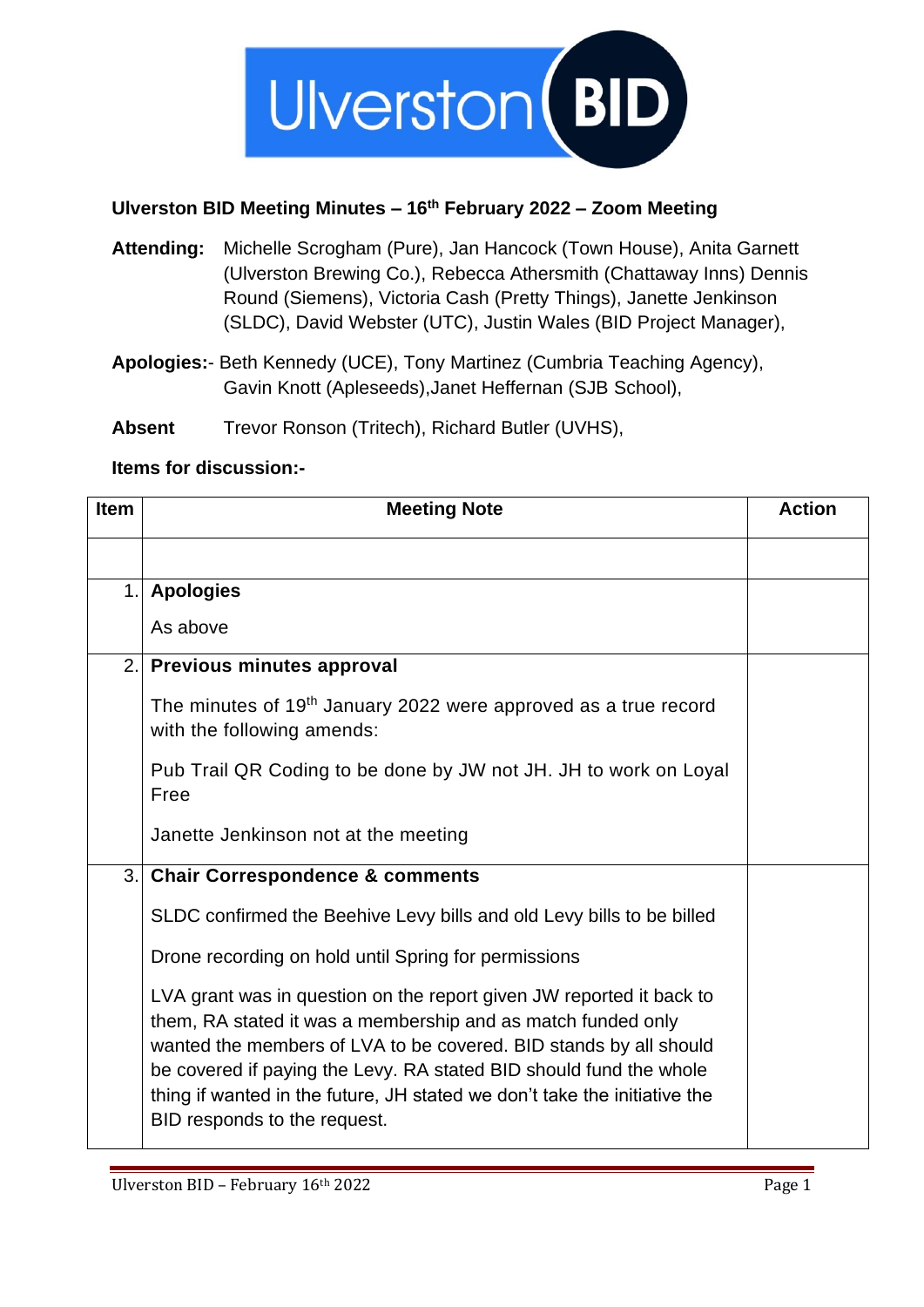

## **Ulverston BID Meeting Minutes – 16 th February 2022 – Zoom Meeting**

- **Attending:** Michelle Scrogham (Pure), Jan Hancock (Town House), Anita Garnett (Ulverston Brewing Co.), Rebecca Athersmith (Chattaway Inns) Dennis Round (Siemens), Victoria Cash (Pretty Things), Janette Jenkinson (SLDC), David Webster (UTC), Justin Wales (BID Project Manager),
- **Apologies:** Beth Kennedy (UCE), Tony Martinez (Cumbria Teaching Agency), Gavin Knott (Apleseeds),Janet Heffernan (SJB School),

**Absent** Trevor Ronson (Tritech), Richard Butler (UVHS),

## **Items for discussion:-**

| <b>Item</b> | <b>Meeting Note</b>                                                                                                                                                                                                                                                                                                                                                                          | <b>Action</b> |
|-------------|----------------------------------------------------------------------------------------------------------------------------------------------------------------------------------------------------------------------------------------------------------------------------------------------------------------------------------------------------------------------------------------------|---------------|
|             |                                                                                                                                                                                                                                                                                                                                                                                              |               |
| $\mathbf 1$ | <b>Apologies</b>                                                                                                                                                                                                                                                                                                                                                                             |               |
|             | As above                                                                                                                                                                                                                                                                                                                                                                                     |               |
|             | 2. Previous minutes approval                                                                                                                                                                                                                                                                                                                                                                 |               |
|             | The minutes of 19 <sup>th</sup> January 2022 were approved as a true record<br>with the following amends:                                                                                                                                                                                                                                                                                    |               |
|             | Pub Trail QR Coding to be done by JW not JH. JH to work on Loyal<br>Free                                                                                                                                                                                                                                                                                                                     |               |
|             | Janette Jenkinson not at the meeting                                                                                                                                                                                                                                                                                                                                                         |               |
| 3.1         | <b>Chair Correspondence &amp; comments</b>                                                                                                                                                                                                                                                                                                                                                   |               |
|             | SLDC confirmed the Beehive Levy bills and old Levy bills to be billed                                                                                                                                                                                                                                                                                                                        |               |
|             | Drone recording on hold until Spring for permissions                                                                                                                                                                                                                                                                                                                                         |               |
|             | LVA grant was in question on the report given JW reported it back to<br>them, RA stated it was a membership and as match funded only<br>wanted the members of LVA to be covered. BID stands by all should<br>be covered if paying the Levy. RA stated BID should fund the whole<br>thing if wanted in the future, JH stated we don't take the initiative the<br>BID responds to the request. |               |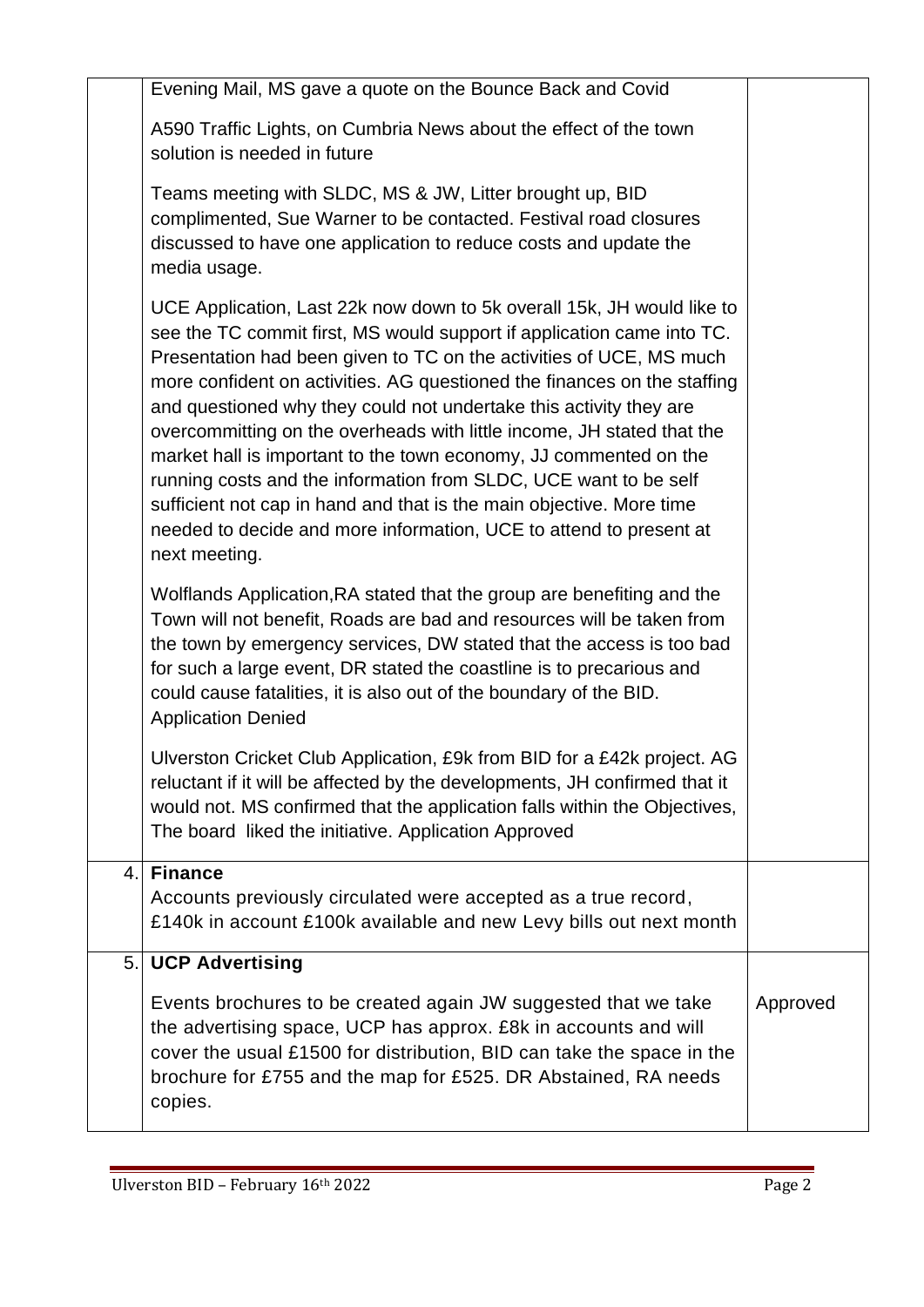|    | Evening Mail, MS gave a quote on the Bounce Back and Covid                                                                                                                                                                                                                                                                                                                                                                                                                                                                                                                                                                                                                                                                                                  |          |
|----|-------------------------------------------------------------------------------------------------------------------------------------------------------------------------------------------------------------------------------------------------------------------------------------------------------------------------------------------------------------------------------------------------------------------------------------------------------------------------------------------------------------------------------------------------------------------------------------------------------------------------------------------------------------------------------------------------------------------------------------------------------------|----------|
|    | A590 Traffic Lights, on Cumbria News about the effect of the town<br>solution is needed in future                                                                                                                                                                                                                                                                                                                                                                                                                                                                                                                                                                                                                                                           |          |
|    | Teams meeting with SLDC, MS & JW, Litter brought up, BID<br>complimented, Sue Warner to be contacted. Festival road closures<br>discussed to have one application to reduce costs and update the<br>media usage.                                                                                                                                                                                                                                                                                                                                                                                                                                                                                                                                            |          |
|    | UCE Application, Last 22k now down to 5k overall 15k, JH would like to<br>see the TC commit first, MS would support if application came into TC.<br>Presentation had been given to TC on the activities of UCE, MS much<br>more confident on activities. AG questioned the finances on the staffing<br>and questioned why they could not undertake this activity they are<br>overcommitting on the overheads with little income, JH stated that the<br>market hall is important to the town economy, JJ commented on the<br>running costs and the information from SLDC, UCE want to be self<br>sufficient not cap in hand and that is the main objective. More time<br>needed to decide and more information, UCE to attend to present at<br>next meeting. |          |
|    | Wolflands Application, RA stated that the group are benefiting and the<br>Town will not benefit, Roads are bad and resources will be taken from<br>the town by emergency services, DW stated that the access is too bad<br>for such a large event, DR stated the coastline is to precarious and<br>could cause fatalities, it is also out of the boundary of the BID.<br><b>Application Denied</b>                                                                                                                                                                                                                                                                                                                                                          |          |
|    | Ulverston Cricket Club Application, £9k from BID for a £42k project. AG<br>reluctant if it will be affected by the developments, JH confirmed that it<br>would not. MS confirmed that the application falls within the Objectives,<br>The board liked the initiative. Application Approved                                                                                                                                                                                                                                                                                                                                                                                                                                                                  |          |
| 4. | <b>Finance</b>                                                                                                                                                                                                                                                                                                                                                                                                                                                                                                                                                                                                                                                                                                                                              |          |
|    | Accounts previously circulated were accepted as a true record,<br>£140k in account £100k available and new Levy bills out next month                                                                                                                                                                                                                                                                                                                                                                                                                                                                                                                                                                                                                        |          |
| 5. | <b>UCP Advertising</b>                                                                                                                                                                                                                                                                                                                                                                                                                                                                                                                                                                                                                                                                                                                                      |          |
|    | Events brochures to be created again JW suggested that we take<br>the advertising space, UCP has approx. £8k in accounts and will<br>cover the usual £1500 for distribution, BID can take the space in the<br>brochure for £755 and the map for £525. DR Abstained, RA needs<br>copies.                                                                                                                                                                                                                                                                                                                                                                                                                                                                     | Approved |
|    |                                                                                                                                                                                                                                                                                                                                                                                                                                                                                                                                                                                                                                                                                                                                                             |          |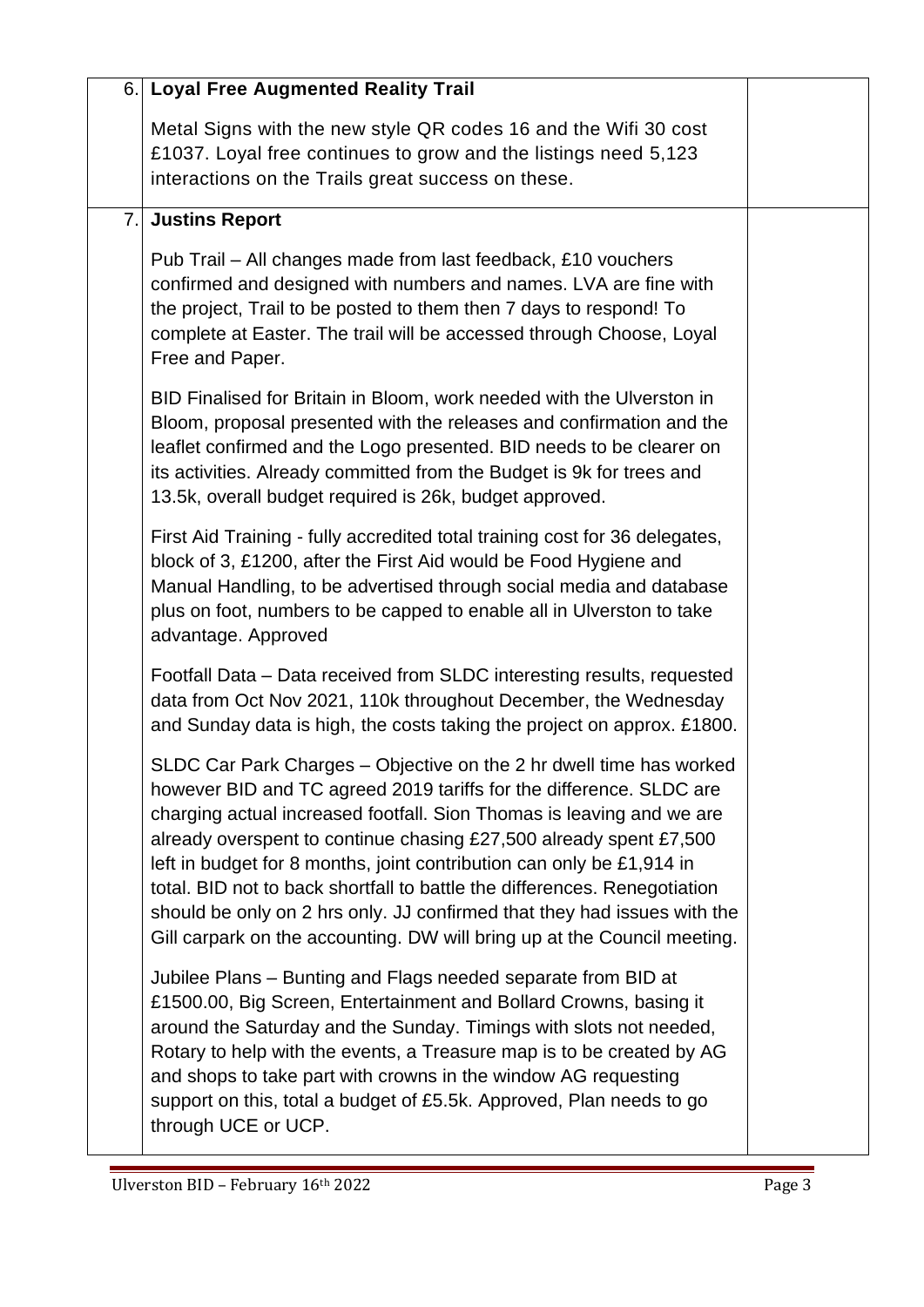| 6. | <b>Loyal Free Augmented Reality Trail</b>                                                                                                                                                                                                                                                                                                                                                                                                                                                                                                                                                               |  |
|----|---------------------------------------------------------------------------------------------------------------------------------------------------------------------------------------------------------------------------------------------------------------------------------------------------------------------------------------------------------------------------------------------------------------------------------------------------------------------------------------------------------------------------------------------------------------------------------------------------------|--|
|    | Metal Signs with the new style QR codes 16 and the Wifi 30 cost<br>£1037. Loyal free continues to grow and the listings need 5,123<br>interactions on the Trails great success on these.                                                                                                                                                                                                                                                                                                                                                                                                                |  |
| 7. | <b>Justins Report</b>                                                                                                                                                                                                                                                                                                                                                                                                                                                                                                                                                                                   |  |
|    | Pub Trail – All changes made from last feedback, £10 vouchers<br>confirmed and designed with numbers and names. LVA are fine with<br>the project, Trail to be posted to them then 7 days to respond! To<br>complete at Easter. The trail will be accessed through Choose, Loyal<br>Free and Paper.                                                                                                                                                                                                                                                                                                      |  |
|    | BID Finalised for Britain in Bloom, work needed with the Ulverston in<br>Bloom, proposal presented with the releases and confirmation and the<br>leaflet confirmed and the Logo presented. BID needs to be clearer on<br>its activities. Already committed from the Budget is 9k for trees and<br>13.5k, overall budget required is 26k, budget approved.                                                                                                                                                                                                                                               |  |
|    | First Aid Training - fully accredited total training cost for 36 delegates,<br>block of 3, £1200, after the First Aid would be Food Hygiene and<br>Manual Handling, to be advertised through social media and database<br>plus on foot, numbers to be capped to enable all in Ulverston to take<br>advantage. Approved                                                                                                                                                                                                                                                                                  |  |
|    | Footfall Data – Data received from SLDC interesting results, requested<br>data from Oct Nov 2021, 110k throughout December, the Wednesday<br>and Sunday data is high, the costs taking the project on approx. £1800.                                                                                                                                                                                                                                                                                                                                                                                    |  |
|    | SLDC Car Park Charges – Objective on the 2 hr dwell time has worked<br>however BID and TC agreed 2019 tariffs for the difference. SLDC are<br>charging actual increased footfall. Sion Thomas is leaving and we are<br>already overspent to continue chasing £27,500 already spent £7,500<br>left in budget for 8 months, joint contribution can only be £1,914 in<br>total. BID not to back shortfall to battle the differences. Renegotiation<br>should be only on 2 hrs only. JJ confirmed that they had issues with the<br>Gill carpark on the accounting. DW will bring up at the Council meeting. |  |
|    | Jubilee Plans - Bunting and Flags needed separate from BID at<br>£1500.00, Big Screen, Entertainment and Bollard Crowns, basing it<br>around the Saturday and the Sunday. Timings with slots not needed,<br>Rotary to help with the events, a Treasure map is to be created by AG<br>and shops to take part with crowns in the window AG requesting<br>support on this, total a budget of £5.5k. Approved, Plan needs to go<br>through UCE or UCP.                                                                                                                                                      |  |